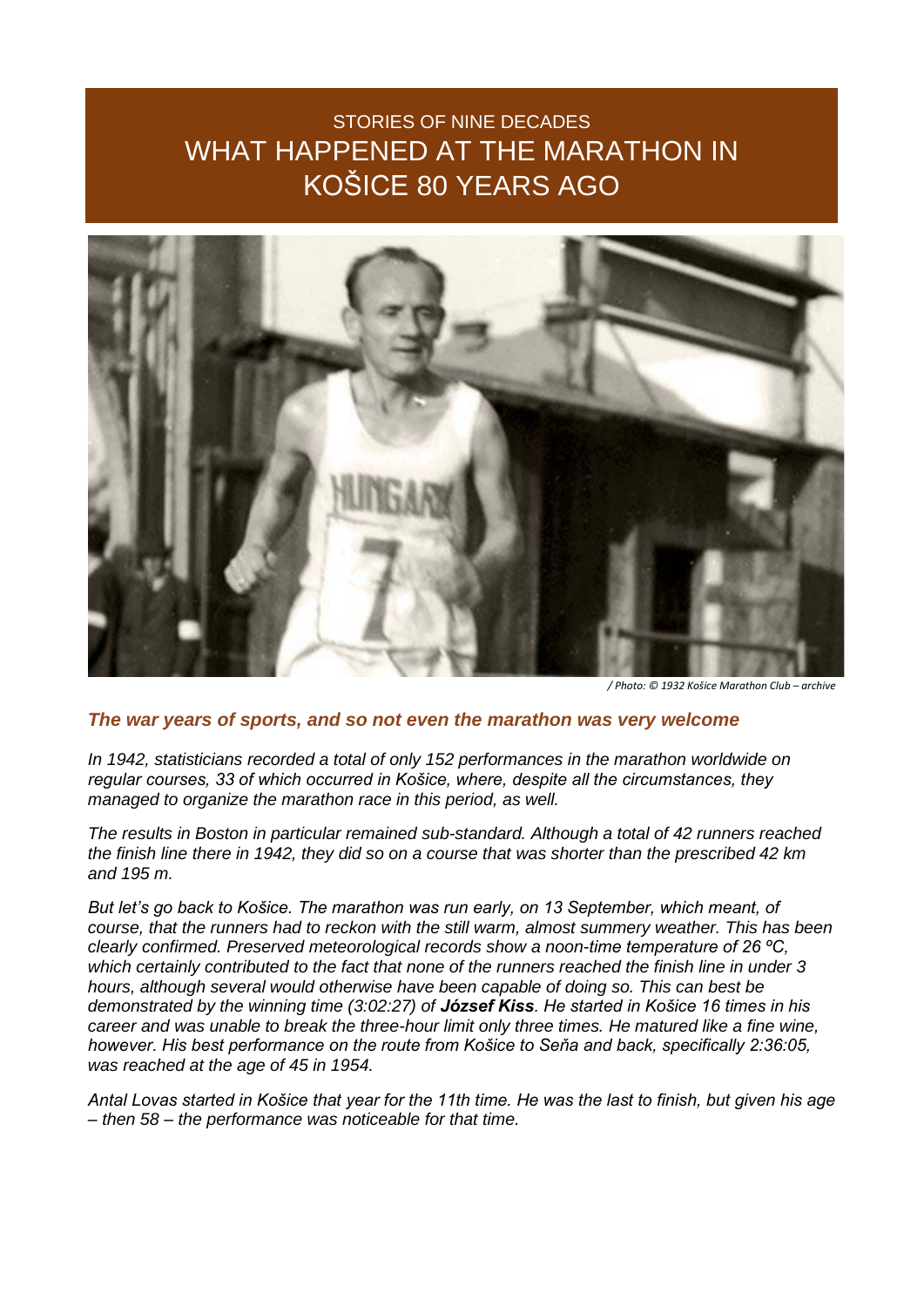## STORIES OF NINE DECADES WHAT HAPPENED AT THE MARATHON IN KOŠICE 80 YEARS AGO



*/ Photo: © 1932 Košice Marathon Club – archive*

## *The war years of sports, and so not even the marathon was very welcome*

*In 1942, statisticians recorded a total of only 152 performances in the marathon worldwide on regular courses, 33 of which occurred in Košice, where, despite all the circumstances, they managed to organize the marathon race in this period, as well.*

*The results in Boston in particular remained sub-standard. Although a total of 42 runners reached the finish line there in 1942, they did so on a course that was shorter than the prescribed 42 km and 195 m.*

*But let's go back to Košice. The marathon was run early, on 13 September, which meant, of course, that the runners had to reckon with the still warm, almost summery weather. This has been clearly confirmed. Preserved meteorological records show a noon-time temperature of 26 ºC, which certainly contributed to the fact that none of the runners reached the finish line in under 3 hours, although several would otherwise have been capable of doing so. This can best be demonstrated by the winning time (3:02:27) of József Kiss. He started in Košice 16 times in his career and was unable to break the three-hour limit only three times. He matured like a fine wine, however. His best performance on the route from Košice to Seňa and back, specifically 2:36:05, was reached at the age of 45 in 1954.*

*Antal Lovas started in Košice that year for the 11th time. He was the last to finish, but given his age – then 58 – the performance was noticeable for that time.*